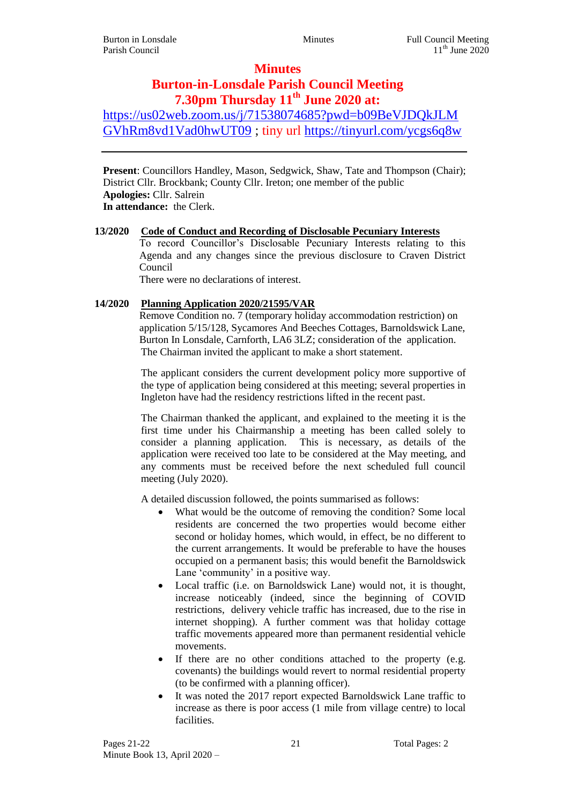# **Minutes**

# **Burton-in-Lonsdale Parish Council Meeting 7.30pm Thursday 11th June 2020 at:**

[https://us02web.zoom.us/j/71538074685?pwd=b09BeVJDQkJLM](https://us02web.zoom.us/j/71538074685?pwd=b09BeVJDQkJLMGVhRm8vd1Vad0hwUT09) [GVhRm8vd1Vad0hwUT09](https://us02web.zoom.us/j/71538074685?pwd=b09BeVJDQkJLMGVhRm8vd1Vad0hwUT09) ; tiny url <https://tinyurl.com/ycgs6q8w>

**Present**: Councillors Handley, Mason, Sedgwick, Shaw, Tate and Thompson (Chair); District Cllr. Brockbank; County Cllr. Ireton; one member of the public **Apologies:** Cllr. Salrein **In attendance:** the Clerk.

# **13/2020 Code of Conduct and Recording of Disclosable Pecuniary Interests**

To record Councillor's Disclosable Pecuniary Interests relating to this Agenda and any changes since the previous disclosure to Craven District Council

There were no declarations of interest.

## **14/2020 Planning Application 2020/21595/VAR**

Remove Condition no. 7 (temporary holiday accommodation restriction) on application 5/15/128, Sycamores And Beeches Cottages, Barnoldswick Lane, Burton In Lonsdale, Carnforth, LA6 3LZ; consideration of the application. The Chairman invited the applicant to make a short statement.

The applicant considers the current development policy more supportive of the type of application being considered at this meeting; several properties in Ingleton have had the residency restrictions lifted in the recent past.

The Chairman thanked the applicant, and explained to the meeting it is the first time under his Chairmanship a meeting has been called solely to consider a planning application. This is necessary, as details of the application were received too late to be considered at the May meeting, and any comments must be received before the next scheduled full council meeting (July 2020).

A detailed discussion followed, the points summarised as follows:

- What would be the outcome of removing the condition? Some local residents are concerned the two properties would become either second or holiday homes, which would, in effect, be no different to the current arrangements. It would be preferable to have the houses occupied on a permanent basis; this would benefit the Barnoldswick Lane 'community' in a positive way.
- Local traffic (i.e. on Barnoldswick Lane) would not, it is thought, increase noticeably (indeed, since the beginning of COVID restrictions, delivery vehicle traffic has increased, due to the rise in internet shopping). A further comment was that holiday cottage traffic movements appeared more than permanent residential vehicle movements.
- If there are no other conditions attached to the property (e.g. covenants) the buildings would revert to normal residential property (to be confirmed with a planning officer).
- It was noted the 2017 report expected Barnoldswick Lane traffic to increase as there is poor access (1 mile from village centre) to local facilities.